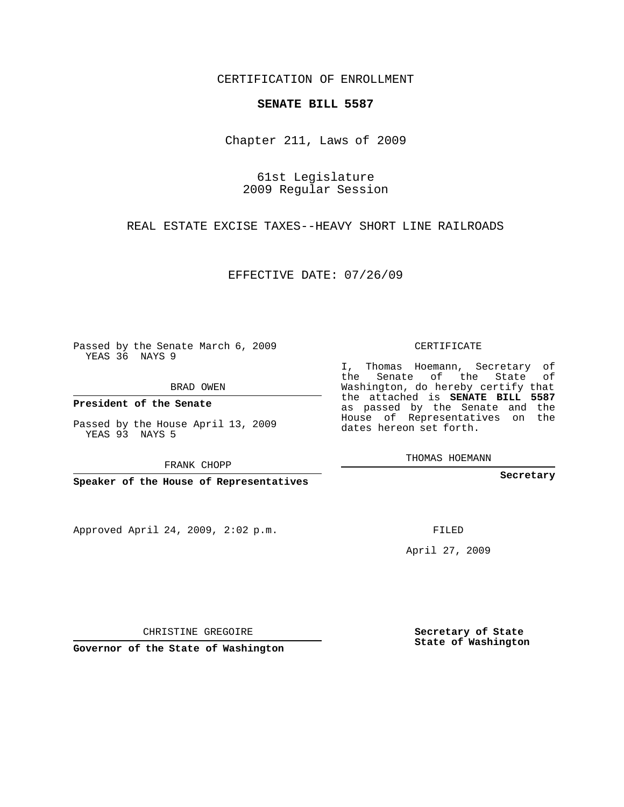## CERTIFICATION OF ENROLLMENT

## **SENATE BILL 5587**

Chapter 211, Laws of 2009

61st Legislature 2009 Regular Session

REAL ESTATE EXCISE TAXES--HEAVY SHORT LINE RAILROADS

EFFECTIVE DATE: 07/26/09

Passed by the Senate March 6, 2009 YEAS 36 NAYS 9

BRAD OWEN

**President of the Senate**

Passed by the House April 13, 2009 YEAS 93 NAYS 5

FRANK CHOPP

**Speaker of the House of Representatives**

Approved April 24, 2009, 2:02 p.m.

CERTIFICATE

I, Thomas Hoemann, Secretary of the Senate of the State of Washington, do hereby certify that the attached is **SENATE BILL 5587** as passed by the Senate and the House of Representatives on the dates hereon set forth.

THOMAS HOEMANN

**Secretary**

FILED

April 27, 2009

**Secretary of State State of Washington**

CHRISTINE GREGOIRE

**Governor of the State of Washington**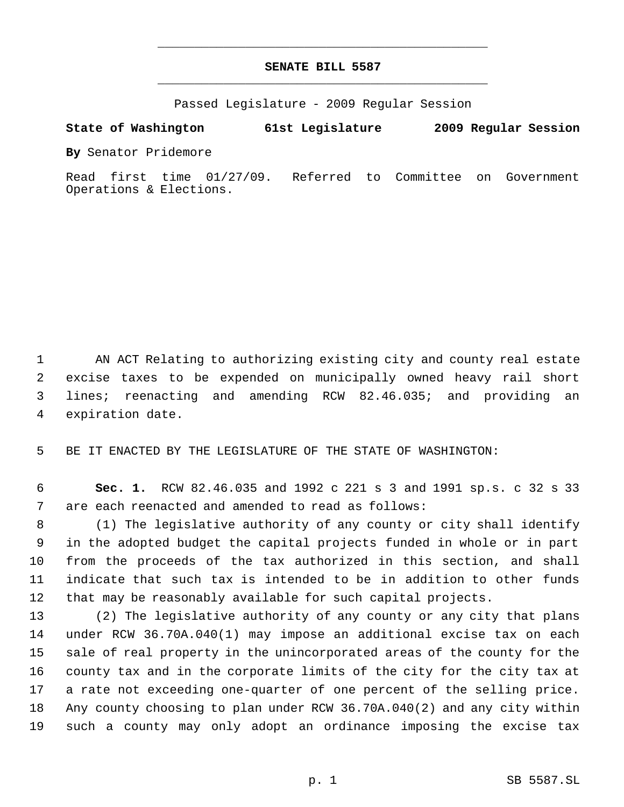## **SENATE BILL 5587** \_\_\_\_\_\_\_\_\_\_\_\_\_\_\_\_\_\_\_\_\_\_\_\_\_\_\_\_\_\_\_\_\_\_\_\_\_\_\_\_\_\_\_\_\_

\_\_\_\_\_\_\_\_\_\_\_\_\_\_\_\_\_\_\_\_\_\_\_\_\_\_\_\_\_\_\_\_\_\_\_\_\_\_\_\_\_\_\_\_\_

Passed Legislature - 2009 Regular Session

## **State of Washington 61st Legislature 2009 Regular Session**

**By** Senator Pridemore

Read first time 01/27/09. Referred to Committee on Government Operations & Elections.

 AN ACT Relating to authorizing existing city and county real estate excise taxes to be expended on municipally owned heavy rail short lines; reenacting and amending RCW 82.46.035; and providing an expiration date.

BE IT ENACTED BY THE LEGISLATURE OF THE STATE OF WASHINGTON:

 **Sec. 1.** RCW 82.46.035 and 1992 c 221 s 3 and 1991 sp.s. c 32 s 33 are each reenacted and amended to read as follows:

 (1) The legislative authority of any county or city shall identify in the adopted budget the capital projects funded in whole or in part from the proceeds of the tax authorized in this section, and shall indicate that such tax is intended to be in addition to other funds that may be reasonably available for such capital projects.

 (2) The legislative authority of any county or any city that plans under RCW 36.70A.040(1) may impose an additional excise tax on each sale of real property in the unincorporated areas of the county for the county tax and in the corporate limits of the city for the city tax at a rate not exceeding one-quarter of one percent of the selling price. Any county choosing to plan under RCW 36.70A.040(2) and any city within such a county may only adopt an ordinance imposing the excise tax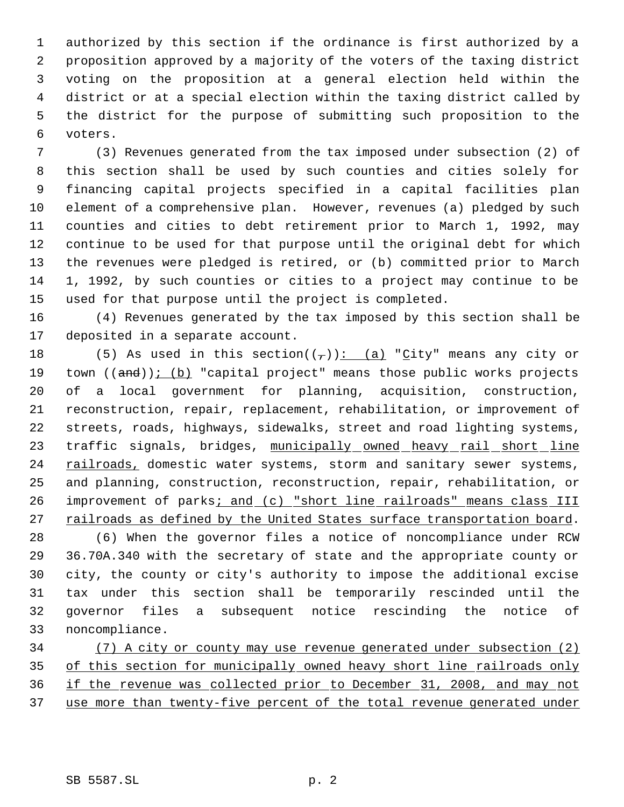authorized by this section if the ordinance is first authorized by a proposition approved by a majority of the voters of the taxing district voting on the proposition at a general election held within the district or at a special election within the taxing district called by the district for the purpose of submitting such proposition to the voters.

 (3) Revenues generated from the tax imposed under subsection (2) of this section shall be used by such counties and cities solely for financing capital projects specified in a capital facilities plan element of a comprehensive plan. However, revenues (a) pledged by such counties and cities to debt retirement prior to March 1, 1992, may continue to be used for that purpose until the original debt for which the revenues were pledged is retired, or (b) committed prior to March 1, 1992, by such counties or cities to a project may continue to be used for that purpose until the project is completed.

 (4) Revenues generated by the tax imposed by this section shall be deposited in a separate account.

18 (5) As used in this section( $(\tau)$ ): (a) "City" means any city or 19 town ((and)); (b) "capital project" means those public works projects of a local government for planning, acquisition, construction, reconstruction, repair, replacement, rehabilitation, or improvement of streets, roads, highways, sidewalks, street and road lighting systems, 23 traffic signals, bridges, municipally owned heavy rail short line 24 railroads, domestic water systems, storm and sanitary sewer systems, and planning, construction, reconstruction, repair, rehabilitation, or 26 improvement of parks; and (c) "short line railroads" means class III 27 railroads as defined by the United States surface transportation board.

 (6) When the governor files a notice of noncompliance under RCW 36.70A.340 with the secretary of state and the appropriate county or city, the county or city's authority to impose the additional excise tax under this section shall be temporarily rescinded until the governor files a subsequent notice rescinding the notice of noncompliance.

 (7) A city or county may use revenue generated under subsection (2) 35 of this section for municipally owned heavy short line railroads only if the revenue was collected prior to December 31, 2008, and may not use more than twenty-five percent of the total revenue generated under